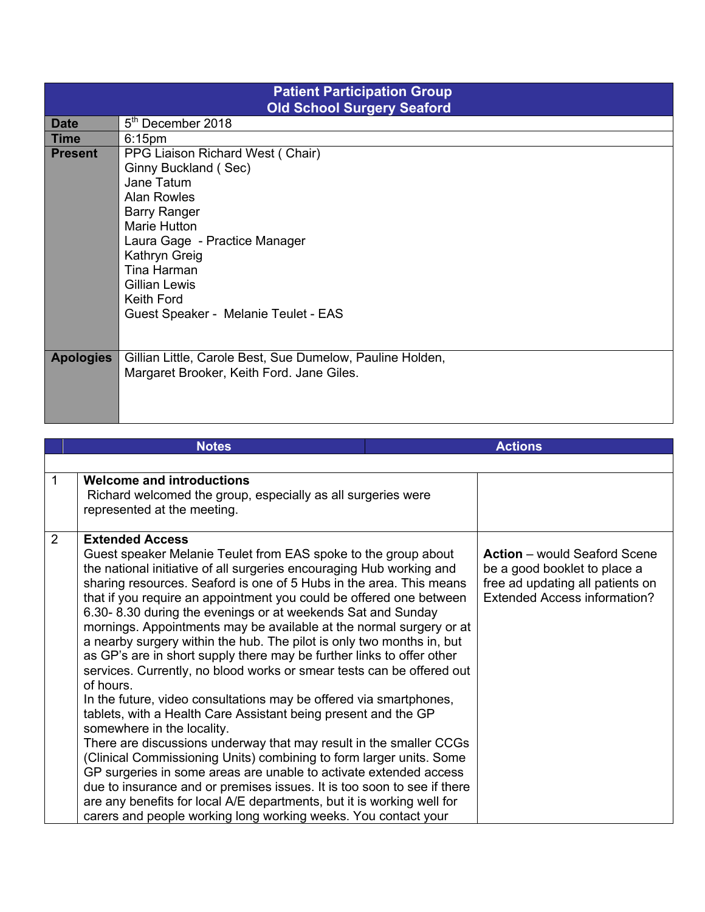| <b>Patient Participation Group</b><br><b>Old School Surgery Seaford</b> |                                                           |  |  |  |
|-------------------------------------------------------------------------|-----------------------------------------------------------|--|--|--|
| <b>Date</b>                                                             | 5 <sup>th</sup> December 2018                             |  |  |  |
| <b>Time</b>                                                             | 6:15 <sub>pm</sub>                                        |  |  |  |
| <b>Present</b>                                                          | PPG Liaison Richard West (Chair)                          |  |  |  |
|                                                                         | Ginny Buckland (Sec)                                      |  |  |  |
|                                                                         | Jane Tatum                                                |  |  |  |
|                                                                         | <b>Alan Rowles</b>                                        |  |  |  |
|                                                                         | <b>Barry Ranger</b>                                       |  |  |  |
|                                                                         | <b>Marie Hutton</b>                                       |  |  |  |
|                                                                         | Laura Gage - Practice Manager                             |  |  |  |
|                                                                         | Kathryn Greig                                             |  |  |  |
|                                                                         | Tina Harman                                               |  |  |  |
|                                                                         | Gillian Lewis                                             |  |  |  |
|                                                                         | <b>Keith Ford</b>                                         |  |  |  |
|                                                                         | Guest Speaker - Melanie Teulet - EAS                      |  |  |  |
|                                                                         |                                                           |  |  |  |
| <b>Apologies</b>                                                        | Gillian Little, Carole Best, Sue Dumelow, Pauline Holden, |  |  |  |
|                                                                         | Margaret Brooker, Keith Ford. Jane Giles.                 |  |  |  |
|                                                                         |                                                           |  |  |  |
|                                                                         |                                                           |  |  |  |
|                                                                         |                                                           |  |  |  |

|             | <b>Notes</b>                                                                                                                                                                                                                                                                                                                                                                                                                                                                                                                                                                                                                                                                                                                                                                                                                                                                                                                                                                                                                                                                                                                                                                                                                                                                                                |  | <b>Actions</b>                                                                                                                          |
|-------------|-------------------------------------------------------------------------------------------------------------------------------------------------------------------------------------------------------------------------------------------------------------------------------------------------------------------------------------------------------------------------------------------------------------------------------------------------------------------------------------------------------------------------------------------------------------------------------------------------------------------------------------------------------------------------------------------------------------------------------------------------------------------------------------------------------------------------------------------------------------------------------------------------------------------------------------------------------------------------------------------------------------------------------------------------------------------------------------------------------------------------------------------------------------------------------------------------------------------------------------------------------------------------------------------------------------|--|-----------------------------------------------------------------------------------------------------------------------------------------|
|             |                                                                                                                                                                                                                                                                                                                                                                                                                                                                                                                                                                                                                                                                                                                                                                                                                                                                                                                                                                                                                                                                                                                                                                                                                                                                                                             |  |                                                                                                                                         |
| $\mathbf 1$ | <b>Welcome and introductions</b><br>Richard welcomed the group, especially as all surgeries were<br>represented at the meeting.                                                                                                                                                                                                                                                                                                                                                                                                                                                                                                                                                                                                                                                                                                                                                                                                                                                                                                                                                                                                                                                                                                                                                                             |  |                                                                                                                                         |
| 2           | <b>Extended Access</b><br>Guest speaker Melanie Teulet from EAS spoke to the group about<br>the national initiative of all surgeries encouraging Hub working and<br>sharing resources. Seaford is one of 5 Hubs in the area. This means<br>that if you require an appointment you could be offered one between<br>6.30-8.30 during the evenings or at weekends Sat and Sunday<br>mornings. Appointments may be available at the normal surgery or at<br>a nearby surgery within the hub. The pilot is only two months in, but<br>as GP's are in short supply there may be further links to offer other<br>services. Currently, no blood works or smear tests can be offered out<br>of hours.<br>In the future, video consultations may be offered via smartphones,<br>tablets, with a Health Care Assistant being present and the GP<br>somewhere in the locality.<br>There are discussions underway that may result in the smaller CCGs<br>(Clinical Commissioning Units) combining to form larger units. Some<br>GP surgeries in some areas are unable to activate extended access<br>due to insurance and or premises issues. It is too soon to see if there<br>are any benefits for local A/E departments, but it is working well for<br>carers and people working long working weeks. You contact your |  | <b>Action</b> – would Seaford Scene<br>be a good booklet to place a<br>free ad updating all patients on<br>Extended Access information? |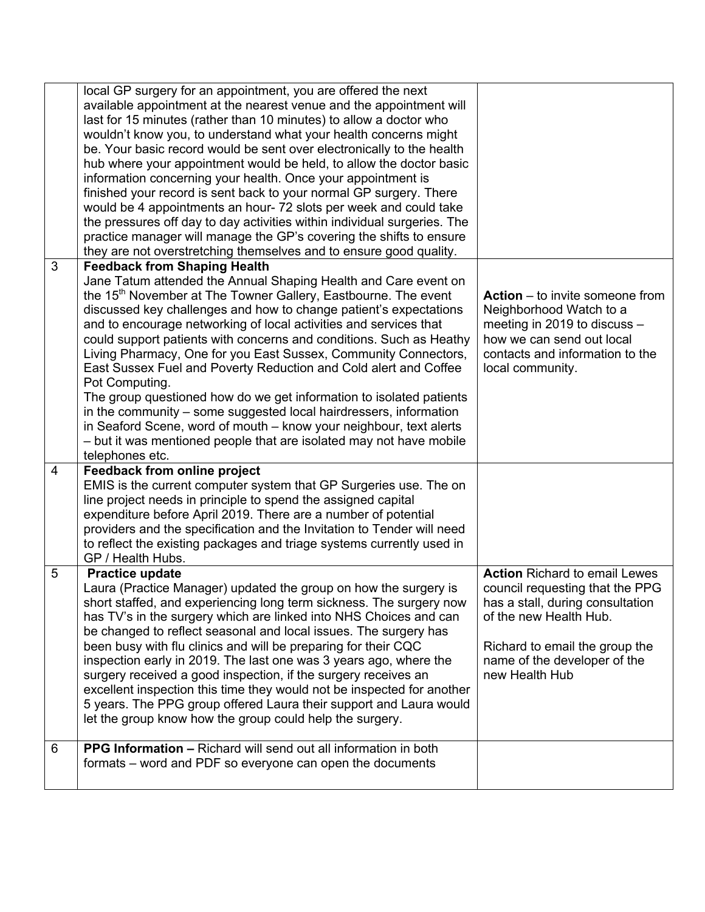|                | local GP surgery for an appointment, you are offered the next<br>available appointment at the nearest venue and the appointment will<br>last for 15 minutes (rather than 10 minutes) to allow a doctor who<br>wouldn't know you, to understand what your health concerns might<br>be. Your basic record would be sent over electronically to the health<br>hub where your appointment would be held, to allow the doctor basic<br>information concerning your health. Once your appointment is<br>finished your record is sent back to your normal GP surgery. There<br>would be 4 appointments an hour-72 slots per week and could take<br>the pressures off day to day activities within individual surgeries. The<br>practice manager will manage the GP's covering the shifts to ensure<br>they are not overstretching themselves and to ensure good quality.          |                                                                                                                                                                                                                           |
|----------------|----------------------------------------------------------------------------------------------------------------------------------------------------------------------------------------------------------------------------------------------------------------------------------------------------------------------------------------------------------------------------------------------------------------------------------------------------------------------------------------------------------------------------------------------------------------------------------------------------------------------------------------------------------------------------------------------------------------------------------------------------------------------------------------------------------------------------------------------------------------------------|---------------------------------------------------------------------------------------------------------------------------------------------------------------------------------------------------------------------------|
| 3              | <b>Feedback from Shaping Health</b><br>Jane Tatum attended the Annual Shaping Health and Care event on<br>the 15 <sup>th</sup> November at The Towner Gallery, Eastbourne. The event<br>discussed key challenges and how to change patient's expectations<br>and to encourage networking of local activities and services that<br>could support patients with concerns and conditions. Such as Heathy<br>Living Pharmacy, One for you East Sussex, Community Connectors,<br>East Sussex Fuel and Poverty Reduction and Cold alert and Coffee<br>Pot Computing.<br>The group questioned how do we get information to isolated patients<br>in the community - some suggested local hairdressers, information<br>in Seaford Scene, word of mouth – know your neighbour, text alerts<br>- but it was mentioned people that are isolated may not have mobile<br>telephones etc. | <b>Action</b> $-$ to invite someone from<br>Neighborhood Watch to a<br>meeting in 2019 to discuss -<br>how we can send out local<br>contacts and information to the<br>local community.                                   |
| $\overline{4}$ | <b>Feedback from online project</b><br>EMIS is the current computer system that GP Surgeries use. The on<br>line project needs in principle to spend the assigned capital<br>expenditure before April 2019. There are a number of potential<br>providers and the specification and the Invitation to Tender will need<br>to reflect the existing packages and triage systems currently used in<br>GP / Health Hubs.                                                                                                                                                                                                                                                                                                                                                                                                                                                        |                                                                                                                                                                                                                           |
| 5              | <b>Practice update</b><br>Laura (Practice Manager) updated the group on how the surgery is<br>short staffed, and experiencing long term sickness. The surgery now<br>has TV's in the surgery which are linked into NHS Choices and can<br>be changed to reflect seasonal and local issues. The surgery has<br>been busy with flu clinics and will be preparing for their CQC<br>inspection early in 2019. The last one was 3 years ago, where the<br>surgery received a good inspection, if the surgery receives an<br>excellent inspection this time they would not be inspected for another<br>5 years. The PPG group offered Laura their support and Laura would<br>let the group know how the group could help the surgery.                                                                                                                                            | <b>Action Richard to email Lewes</b><br>council requesting that the PPG<br>has a stall, during consultation<br>of the new Health Hub.<br>Richard to email the group the<br>name of the developer of the<br>new Health Hub |
| 6              | <b>PPG Information - Richard will send out all information in both</b><br>formats – word and PDF so everyone can open the documents                                                                                                                                                                                                                                                                                                                                                                                                                                                                                                                                                                                                                                                                                                                                        |                                                                                                                                                                                                                           |